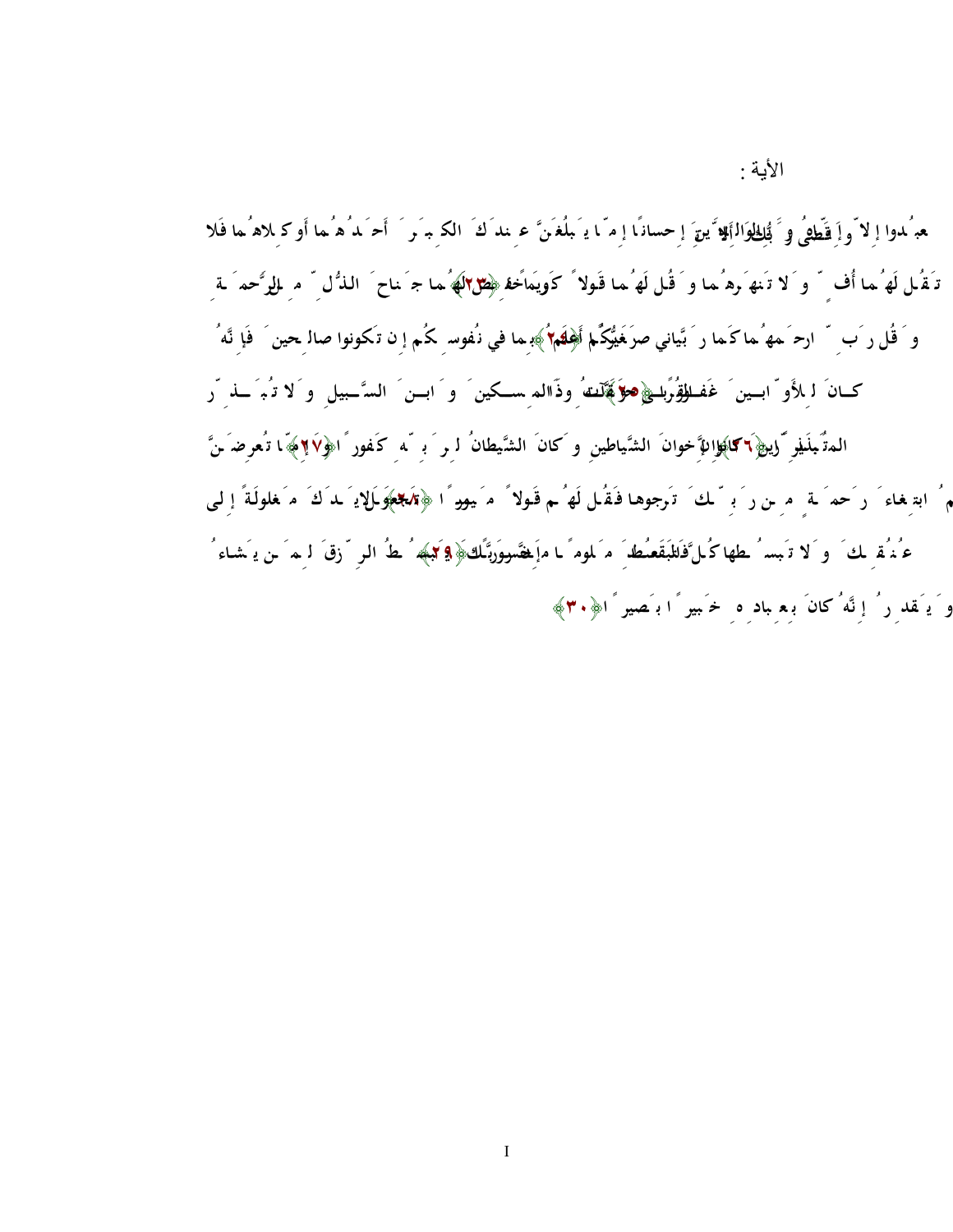الأیة :

هِ مُدوا إِلاّ واَ قَطْهِيُ و َ بُُلِ<u>الْوَ</u>الِّةِ يقَ إِحسانًا إِمّا يَـبلُغَـنَّ ع<sub>ِ</sub> ندَكَ الك<sub>ِ</sub> ب*َ وَ* ۖ أَحَـدُهُما أَو كِلاهُ ما فَلا **تـَقُـل لَهُ مـا أُف ٍ ّ و َلا تَنهَ رهُمـا و َ قُـل لَهُمـا قَـولاً كَريم ً ـا ﴿٢٣﴾ و َ اخفِ ـض لَهُمـا جَ نـاح َ الـذُّلِّ مِ ـن َ الرَّحم َ ـةِ و َ قُل ر َبِ ّ ارحَ مهُما كَما ر َ بَّياني صَ غير ً ا ﴿٢٤﴾ ر َ بُّكُم أَعلَم ُ بِما في نُفوسِ كُم إِن تَكونوا صالِحين َ فَإِنَّهُ**  كــانَ ل<sub>ـِ</sub>لأَو ّابــين َ غَفــل**لِقُرَباطِ هؤَ فَمَّلَـنـَه**ُ وذَاالم ســكين َ و َ ابــن َ السَّــبيلِ و َلا ت<sup>ُ</sup>بَ َـــذِ ّر **تَبذير ً ا ﴿٢٦﴾إِنَّ المُ بَذِّرين َ كانوا إِخوانَ الشَّياطينِ و َكانَ الشَّيطانُ لِر َ بِ ّهِ كَفورً ا﴿٢٧﴾ وَ إِمّ ا تُعرِضَ ـنَّ عَ ـنهُ م ُ ابتِغـاء َ ر َحم َ ـةٍ مِ ـن ر َ بِ ّ ـكَ تَرجوهـا فـَقُـل لَهُ ـم قَـولاً مَ يسـورً ا ﴿٢٨﴾و َلا تَجعَ ـل يَ ـدَكَ مَ غلولَـةً إِلـى**  عُـنُمق لى َ و َلا تَبسُ طها كُـلَّ فَا<del>لل</del>بَقَع**ُنُ**ط َ مَ لمومً ـا ماَ ِ فَقَسووَرَبَّـكَ ﴿ **9 كَب**هِه ُ ـطُ الرِ ۖ زقَ لَـ مَ ـن يَـ شاء ُ **و َ يَقدِ رُ إِنَّهُ كانَ بِعِ بادِ هِ خَ بير ً ا بَصير ً ا﴿٣٠﴾**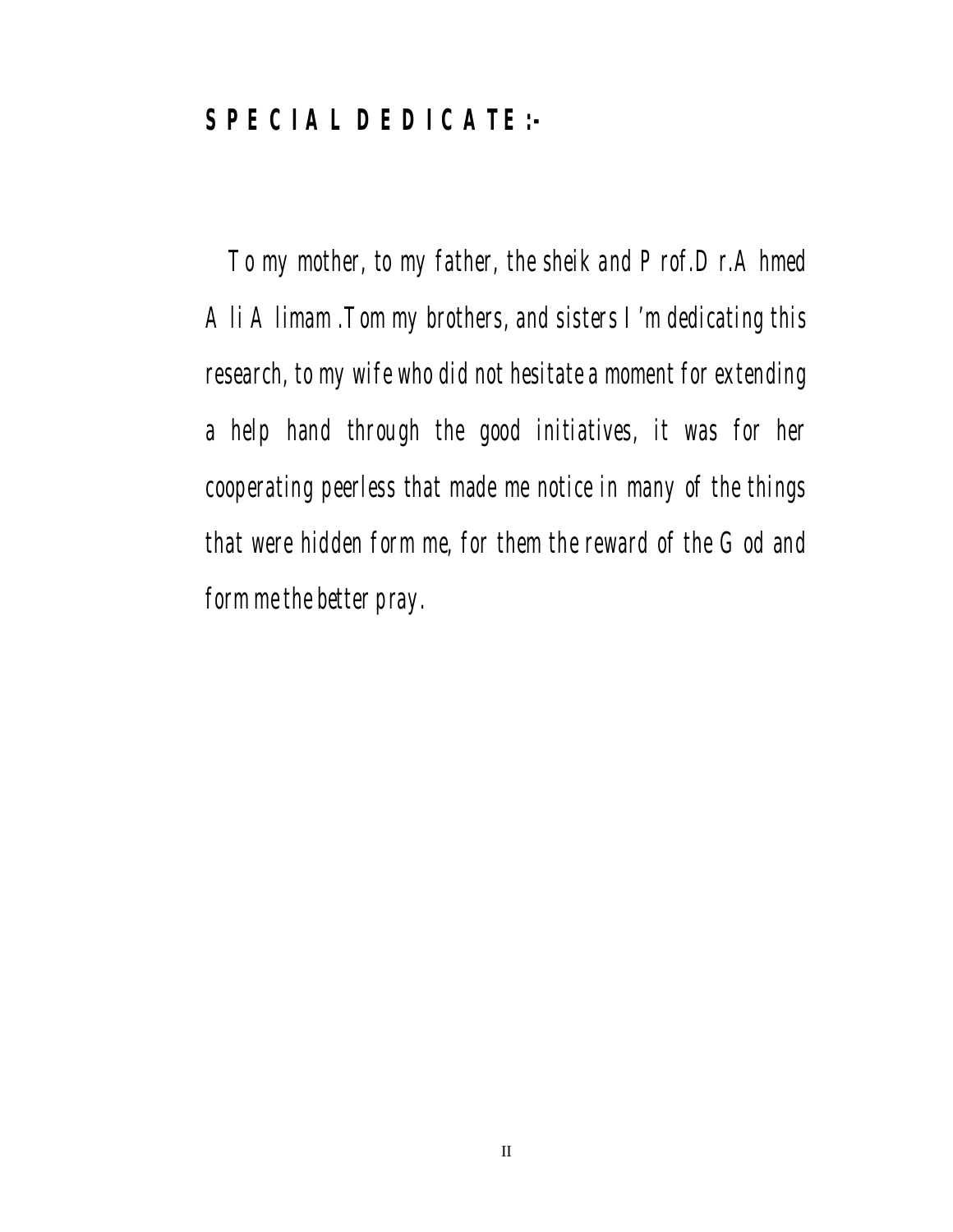## **SPECIAL DEDICATE:-**

 To my mother, to my father, the sheik and Prof.Dr.Ahmed Ali Alimam .Tom my brothers, and sisters I'm dedicating this research, to my wife who did not hesitate a moment for extending a help hand through the good initiatives, it was for her cooperating peerless that made me notice in many of the things that were hidden form me, for them the reward of the God and form me the better pray.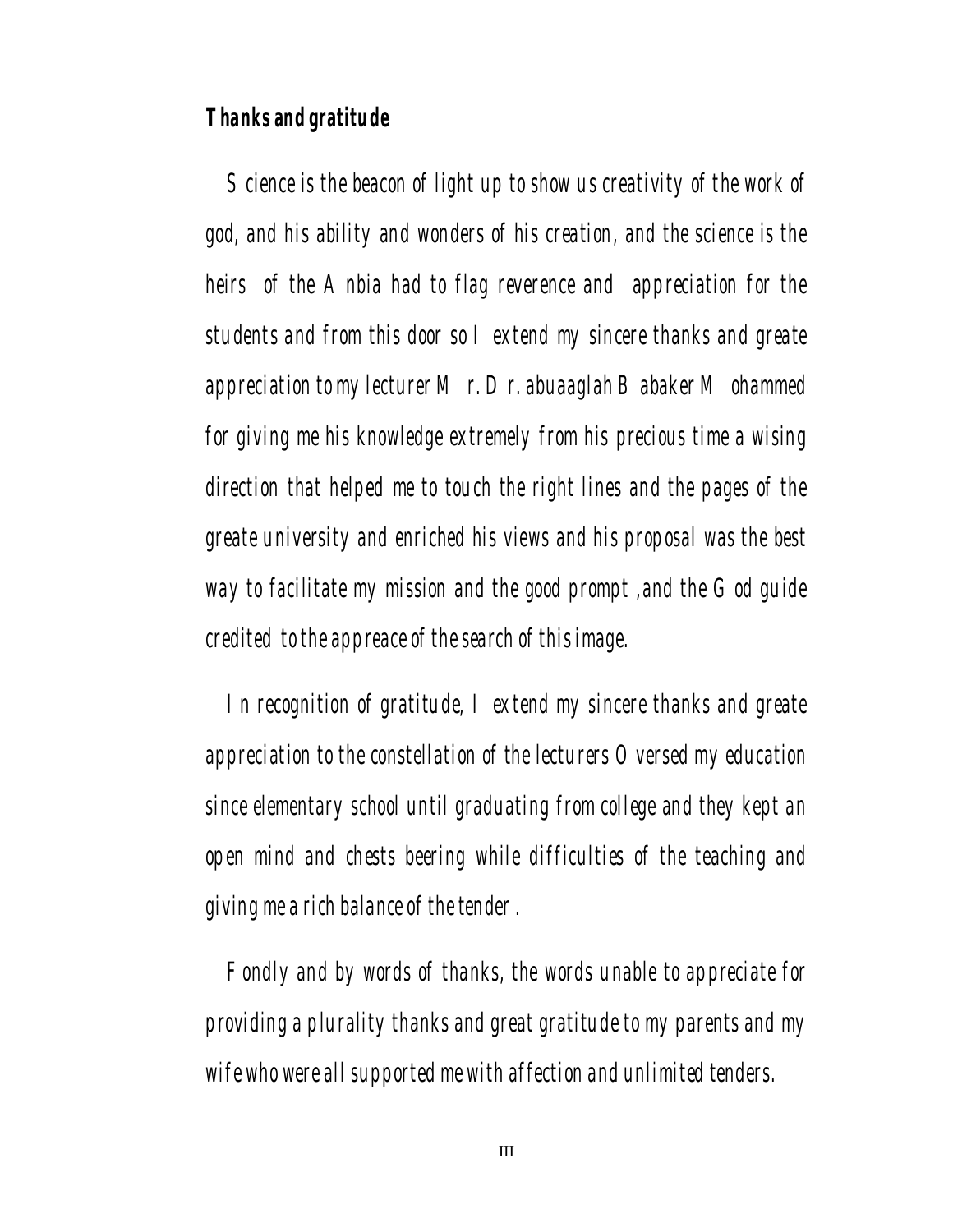## **Thanks and gratitude**

 Science is the beacon of light up to show us creativity of the work of god, and his ability and wonders of his creation, and the science is the heirs of the Anbia had to flag reverence and appreciation for the students and from this door so I extend my sincere thanks and greate appreciation to my lecturer Mr. Dr. abuaaglah Babaker Mohammed for giving me his knowledge extremely from his precious time a wising direction that helped me to touch the right lines and the pages of the greate university and enriched his views and his proposal was the best way to facilitate my mission and the good prompt, and the God quide credited to the appreace of the search of this image.

 In recognition of gratitude, I extend my sincere thanks and greate appreciation to the constellation of the lecturers Oversed my education since elementary school until graduating from college and they kept an open mind and chests beering while difficulties of the teaching and giving me a rich balance of the tender .

 Fondly and by words of thanks, the words unable to appreciate for providing a plurality thanks and great gratitude to my parents and my wife who were all supported me with affection and unlimited tenders.

III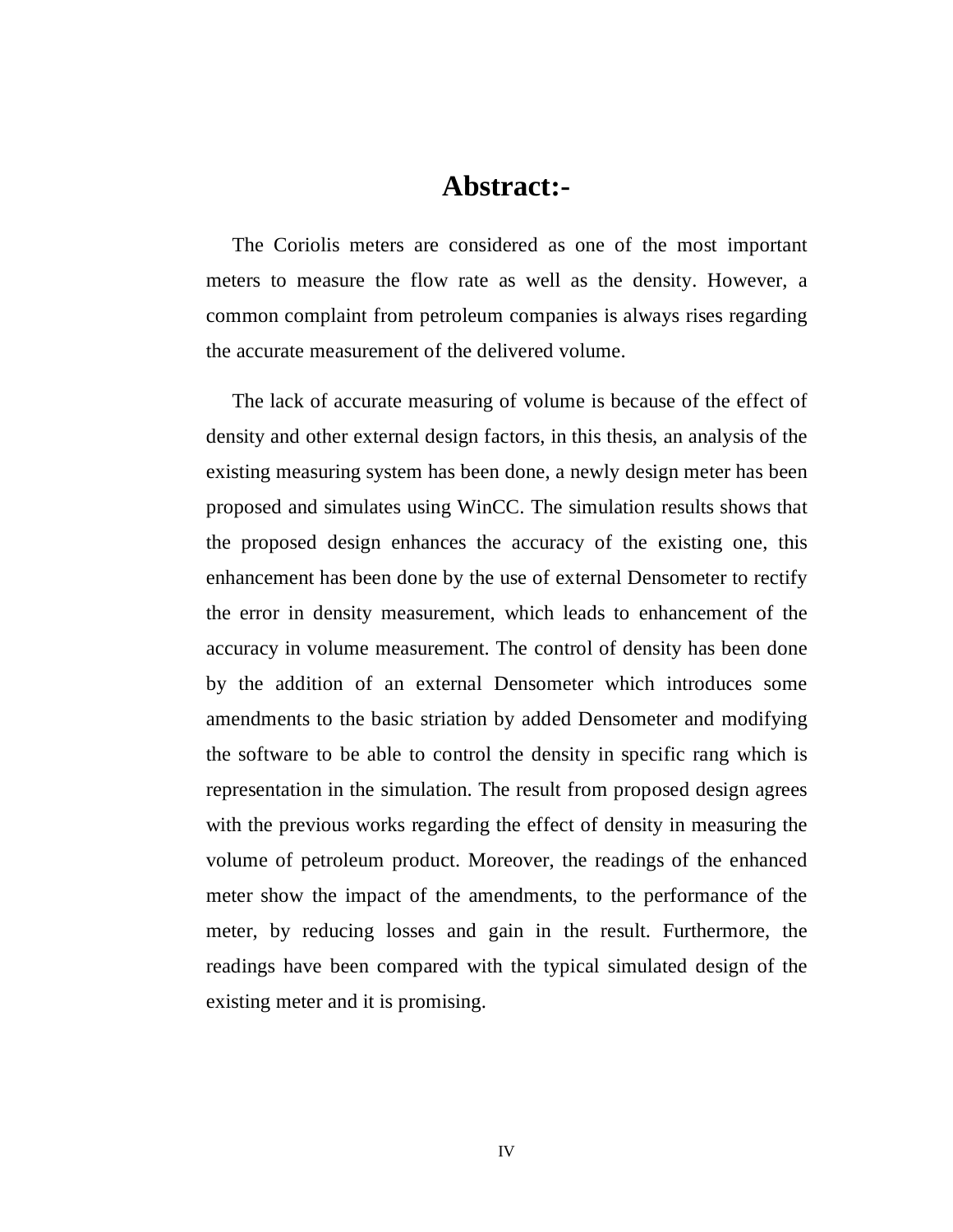## **Abstract:-**

 The Coriolis meters are considered as one of the most important meters to measure the flow rate as well as the density. However, a common complaint from petroleum companies is always rises regarding the accurate measurement of the delivered volume.

 The lack of accurate measuring of volume is because of the effect of density and other external design factors, in this thesis, an analysis of the existing measuring system has been done, a newly design meter has been proposed and simulates using WinCC. The simulation results shows that the proposed design enhances the accuracy of the existing one, this enhancement has been done by the use of external Densometer to rectify the error in density measurement, which leads to enhancement of the accuracy in volume measurement. The control of density has been done by the addition of an external Densometer which introduces some amendments to the basic striation by added Densometer and modifying the software to be able to control the density in specific rang which is representation in the simulation. The result from proposed design agrees with the previous works regarding the effect of density in measuring the volume of petroleum product. Moreover, the readings of the enhanced meter show the impact of the amendments, to the performance of the meter, by reducing losses and gain in the result. Furthermore, the readings have been compared with the typical simulated design of the existing meter and it is promising.